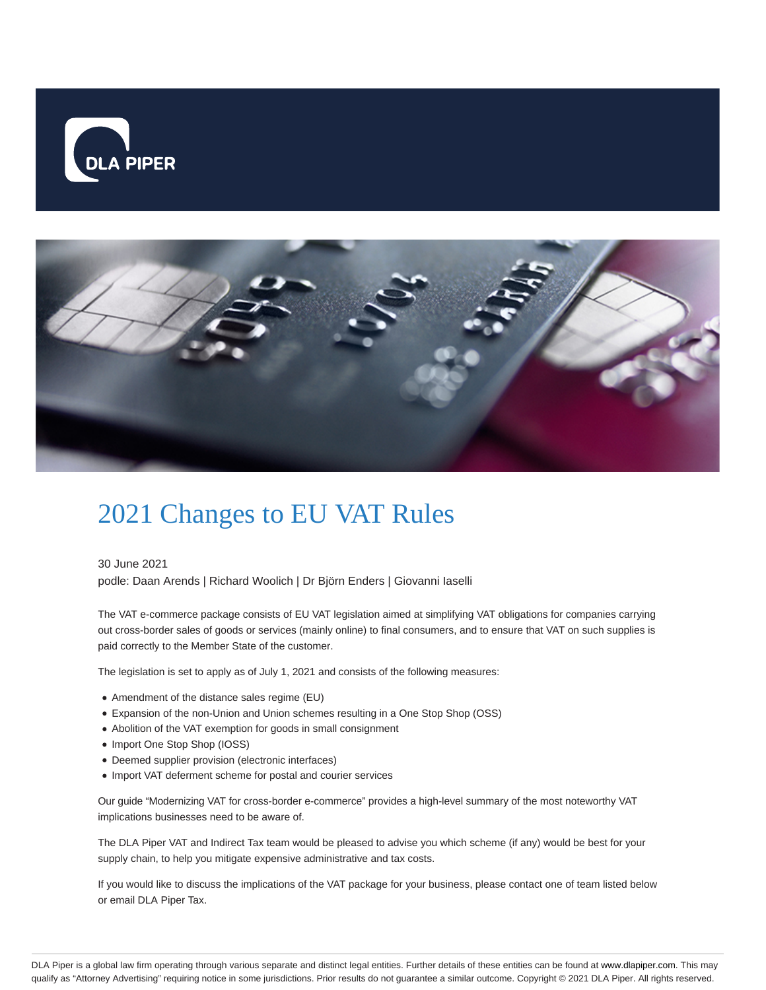



## 2021 Changes to EU VAT Rules

30 June 2021 podle: Daan Arends | Richard Woolich | Dr Björn Enders | Giovanni Iaselli

The VAT e-commerce package consists of EU VAT legislation aimed at simplifying VAT obligations for companies carrying out cross-border sales of goods or services (mainly online) to final consumers, and to ensure that VAT on such supplies is paid correctly to the Member State of the customer.

The legislation is set to apply as of July 1, 2021 and consists of the following measures:

- Amendment of the distance sales regime (EU)
- Expansion of the non-Union and Union schemes resulting in a One Stop Shop (OSS)
- Abolition of the VAT exemption for goods in small consignment
- Import One Stop Shop (IOSS)
- Deemed supplier provision (electronic interfaces)
- Import VAT deferment scheme for postal and courier services

Our guide "Modernizing VAT for cross-border e-commerce" provides a high-level summary of the most noteworthy VAT implications businesses need to be aware of.

The DLA Piper VAT and Indirect Tax team would be pleased to advise you which scheme (if any) would be best for your supply chain, to help you mitigate expensive administrative and tax costs.

If you would like to discuss the implications of the VAT package for your business, please contact one of team listed below or email DLA Piper Tax.